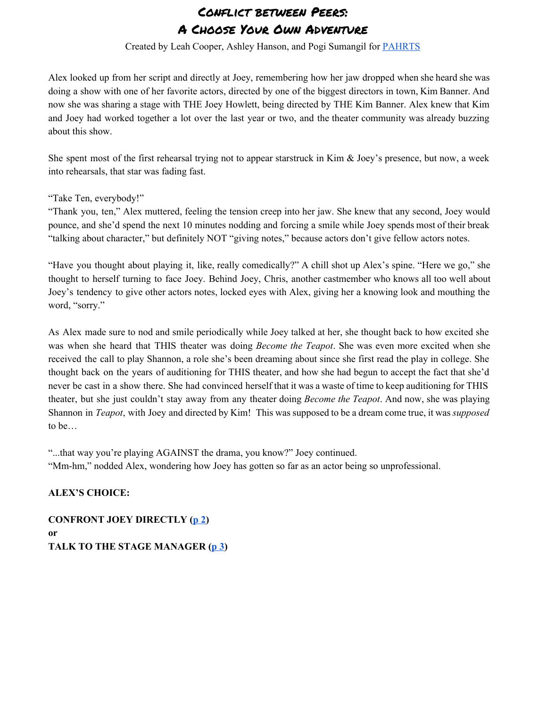Created by Leah Cooper, Ashley Hanson, and Pogi Sumangil for [PAHRTS](http://pahrts.mntheateralliance.org/)

Alex looked up from her script and directly at Joey, remembering how her jaw dropped when she heard she was doing a show with one of her favorite actors, directed by one of the biggest directors in town, Kim Banner. And now she was sharing a stage with THE Joey Howlett, being directed by THE Kim Banner. Alex knew that Kim and Joey had worked together a lot over the last year or two, and the theater community was already buzzing about this show.

She spent most of the first rehearsal trying not to appear starstruck in Kim & Joey's presence, but now, a week into rehearsals, that star was fading fast.

"Take Ten, everybody!"

"Thank you, ten," Alex muttered, feeling the tension creep into her jaw. She knew that any second, Joey would pounce, and she'd spend the next 10 minutes nodding and forcing a smile while Joey spends most of their break "talking about character," but definitely NOT "giving notes," because actors don't give fellow actors notes.

"Have you thought about playing it, like, really comedically?" A chill shot up Alex's spine. "Here we go," she thought to herself turning to face Joey. Behind Joey, Chris, another castmember who knows all too well about Joey's tendency to give other actors notes, locked eyes with Alex, giving her a knowing look and mouthing the word, "sorry."

As Alex made sure to nod and smile periodically while Joey talked at her, she thought back to how excited she was when she heard that THIS theater was doing *Become the Teapot*. She was even more excited when she received the call to play Shannon, a role she's been dreaming about since she first read the play in college. She thought back on the years of auditioning for THIS theater, and how she had begun to accept the fact that she'd never be cast in a show there. She had convinced herself that it was a waste of time to keep auditioning for THIS theater, but she just couldn't stay away from any theater doing *Become the Teapot*. And now, she was playing Shannon in *Teapot*, with Joey and directed by Kim! This was supposed to be a dream come true, it was *supposed* to be…

"...that way you're playing AGAINST the drama, you know?" Joey continued.

"Mmhm," nodded Alex, wondering how Joey has gotten so far as an actor being so unprofessional.

### **ALEX'S CHOICE:**

**CONFRONT JOEY DIRECTLY (p 2) or TALK TO THE STAGE MANAGER (p 3)**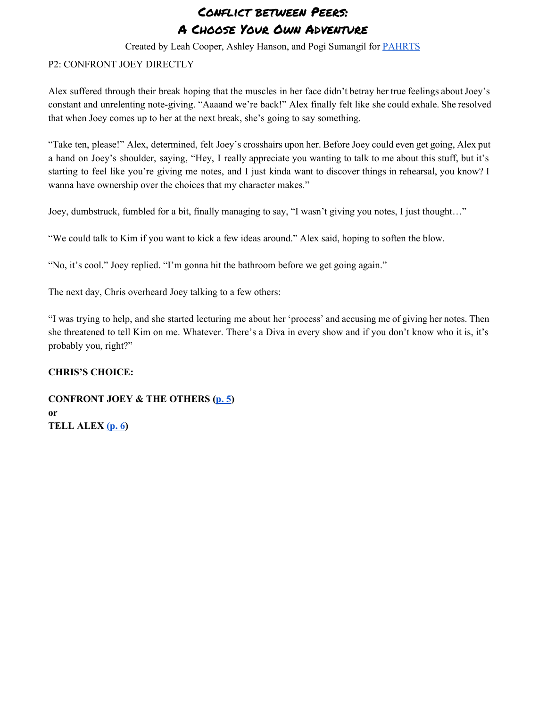Created by Leah Cooper, Ashley Hanson, and Pogi Sumangil for [PAHRTS](http://pahrts.mntheateralliance.org/)

#### <span id="page-1-0"></span>P2: CONFRONT JOEY DIRECTLY

Alex suffered through their break hoping that the muscles in her face didn't betray her true feelings about Joey's constant and unrelenting note-giving. "Aaaand we're back!" Alex finally felt like she could exhale. She resolved that when Joey comes up to her at the next break, she's going to say something.

"Take ten, please!" Alex, determined, felt Joey's crosshairs upon her. Before Joey could even get going, Alex put a hand on Joey's shoulder, saying, "Hey, I really appreciate you wanting to talk to me about this stuff, but it's starting to feel like you're giving me notes, and I just kinda want to discover things in rehearsal, you know? I wanna have ownership over the choices that my character makes."

Joey, dumbstruck, fumbled for a bit, finally managing to say, "I wasn't giving you notes, I just thought…"

"We could talk to Kim if you want to kick a few ideas around." Alex said, hoping to soften the blow.

"No, it's cool." Joey replied. "I'm gonna hit the bathroom before we get going again."

The next day, Chris overheard Joey talking to a few others:

"I was trying to help, and she started lecturing me about her 'process' and accusing me of giving her notes. Then she threatened to tell Kim on me. Whatever. There's a Diva in every show and if you don't know who it is, it's probably you, right?"

#### **CHRIS'S CHOICE:**

### **CONFRONT JOEY & THE OTHERS ([p.](#page-4-0) 5) or TELL ALEX [\(p.](#page-5-0) 6)**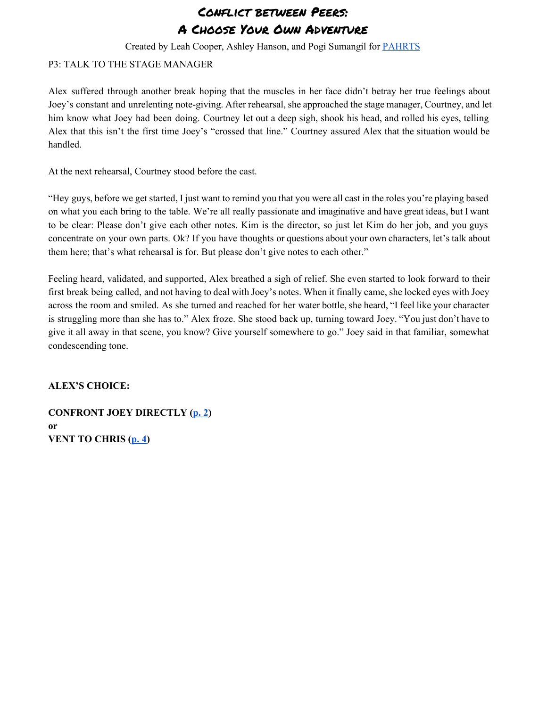Created by Leah Cooper, Ashley Hanson, and Pogi Sumangil for [PAHRTS](http://pahrts.mntheateralliance.org/)

#### <span id="page-2-0"></span>P3: TALK TO THE STAGE MANAGER

Alex suffered through another break hoping that the muscles in her face didn't betray her true feelings about Joey's constant and unrelenting note-giving. After rehearsal, she approached the stage manager, Courtney, and let him know what Joey had been doing. Courtney let out a deep sigh, shook his head, and rolled his eyes, telling Alex that this isn't the first time Joey's "crossed that line." Courtney assured Alex that the situation would be handled.

At the next rehearsal, Courtney stood before the cast.

"Hey guys, before we get started, I just want to remind you that you were all cast in the roles you're playing based on what you each bring to the table. We're all really passionate and imaginative and have great ideas, but I want to be clear: Please don't give each other notes. Kim is the director, so just let Kim do her job, and you guys concentrate on your own parts. Ok? If you have thoughts or questions about your own characters, let's talk about them here; that's what rehearsal is for. But please don't give notes to each other."

Feeling heard, validated, and supported, Alex breathed a sigh of relief. She even started to look forward to their first break being called, and not having to deal with Joey's notes. When it finally came, she locked eyes with Joey across the room and smiled. As she turned and reached for her water bottle, she heard, "I feel like your character is struggling more than she has to." Alex froze. She stood back up, turning toward Joey. "You just don't have to give it all away in that scene, you know? Give yourself somewhere to go." Joey said in that familiar, somewhat condescending tone.

#### **ALEX'S CHOICE:**

**CONFRONT JOEY DIRECTLY ([p.](#page-1-0) 2) or VENT TO CHRIS ([p.](#page-3-0) 4)**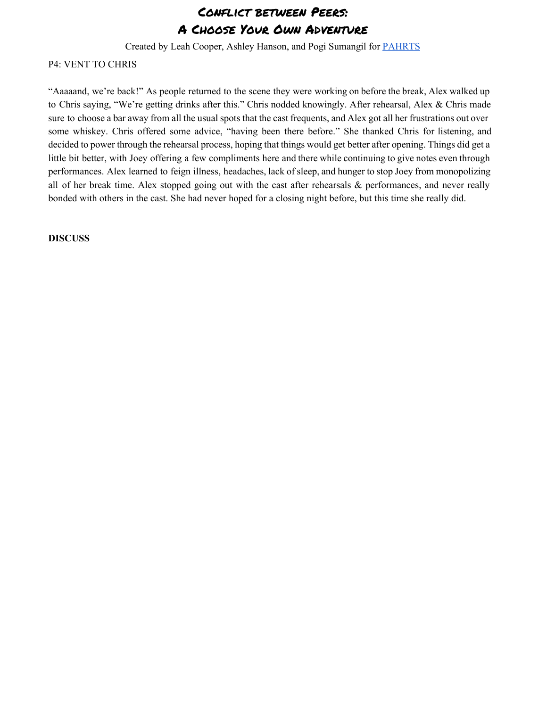Created by Leah Cooper, Ashley Hanson, and Pogi Sumangil for [PAHRTS](http://pahrts.mntheateralliance.org/)

#### <span id="page-3-0"></span>P4: VENT TO CHRIS

"Aaaaand, we're back!" As people returned to the scene they were working on before the break, Alex walked up to Chris saying, "We're getting drinks after this." Chris nodded knowingly. After rehearsal, Alex & Chris made sure to choose a bar away from all the usual spots that the cast frequents, and Alex got all her frustrations out over some whiskey. Chris offered some advice, "having been there before." She thanked Chris for listening, and decided to power through the rehearsal process, hoping that things would get better after opening. Things did get a little bit better, with Joey offering a few compliments here and there while continuing to give notes even through performances. Alex learned to feign illness, headaches, lack of sleep, and hunger to stop Joey from monopolizing all of her break time. Alex stopped going out with the cast after rehearsals & performances, and never really bonded with others in the cast. She had never hoped for a closing night before, but this time she really did.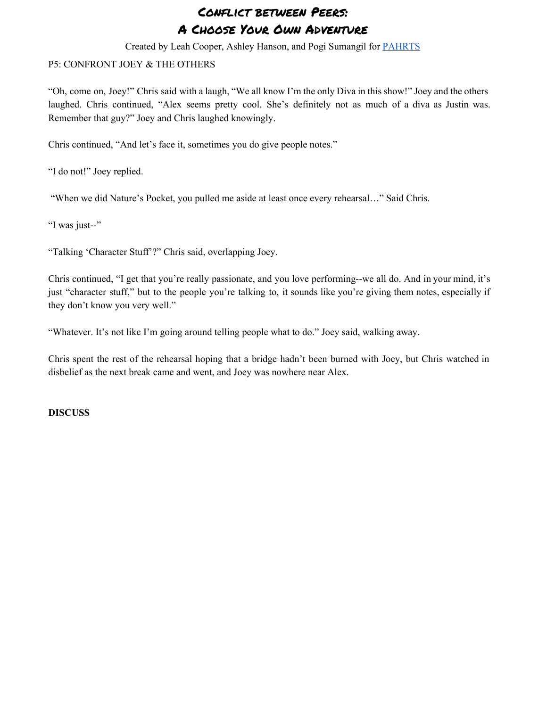Created by Leah Cooper, Ashley Hanson, and Pogi Sumangil for [PAHRTS](http://pahrts.mntheateralliance.org/)

#### <span id="page-4-0"></span>P5: CONFRONT JOEY & THE OTHERS

"Oh, come on, Joey!" Chris said with a laugh, "We all know I'm the only Diva in this show!" Joey and the others laughed. Chris continued, "Alex seems pretty cool. She's definitely not as much of a diva as Justin was. Remember that guy?" Joey and Chris laughed knowingly.

Chris continued, "And let's face it, sometimes you do give people notes."

"I do not!" Joey replied.

"When we did Nature's Pocket, you pulled me aside at least once every rehearsal…" Said Chris.

"I was just--"

"Talking 'Character Stuff'?" Chris said, overlapping Joey.

Chris continued, "I get that you're really passionate, and you love performing--we all do. And in your mind, it's just "character stuff," but to the people you're talking to, it sounds like you're giving them notes, especially if they don't know you very well."

"Whatever. It's not like I'm going around telling people what to do." Joey said, walking away.

Chris spent the rest of the rehearsal hoping that a bridge hadn't been burned with Joey, but Chris watched in disbelief as the next break came and went, and Joey was nowhere near Alex.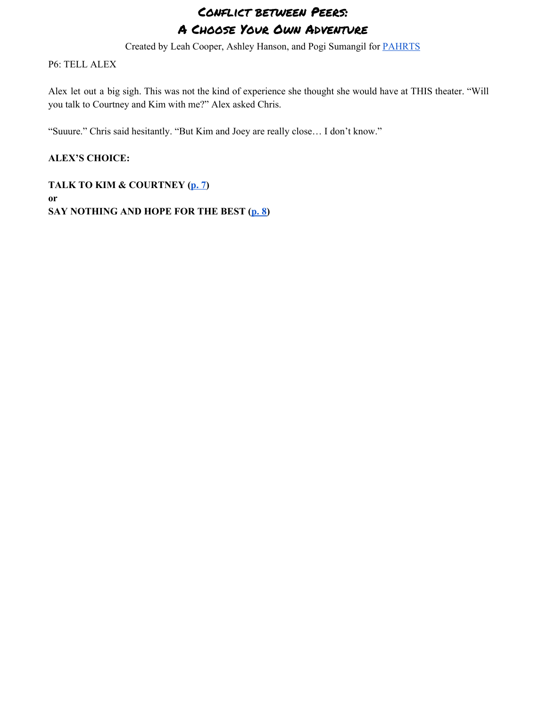Created by Leah Cooper, Ashley Hanson, and Pogi Sumangil for [PAHRTS](http://pahrts.mntheateralliance.org/)

### <span id="page-5-0"></span>P6: TELL ALEX

Alex let out a big sigh. This was not the kind of experience she thought she would have at THIS theater. "Will you talk to Courtney and Kim with me?" Alex asked Chris.

"Suuure." Chris said hesitantly. "But Kim and Joey are really close… I don't know."

### **ALEX'S CHOICE:**

**TALK TO KIM & COURTNEY ([p.](#page-6-0) 7) or SAY NOTHING AND HOPE FOR THE BEST ([p.](#page-7-0) 8)**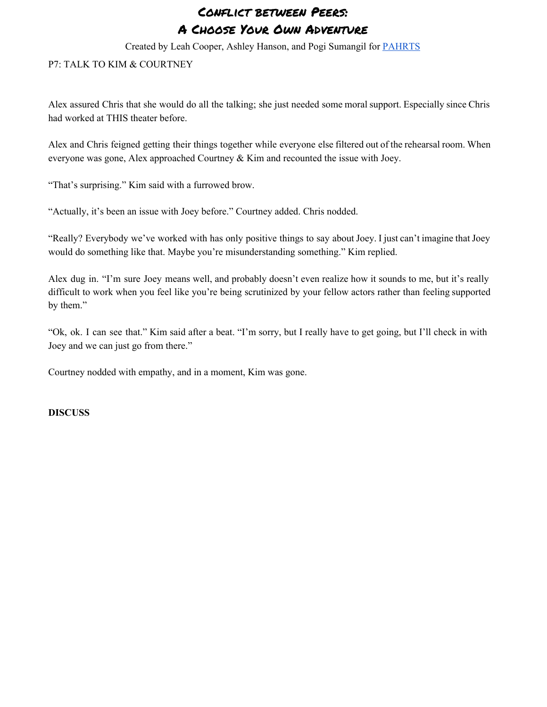Created by Leah Cooper, Ashley Hanson, and Pogi Sumangil for [PAHRTS](http://pahrts.mntheateralliance.org/)

#### <span id="page-6-0"></span>P7: TALK TO KIM & COURTNEY

Alex assured Chris that she would do all the talking; she just needed some moral support. Especially since Chris had worked at THIS theater before.

Alex and Chris feigned getting their things together while everyone else filtered out of the rehearsal room. When everyone was gone, Alex approached Courtney & Kim and recounted the issue with Joey.

"That's surprising." Kim said with a furrowed brow.

"Actually, it's been an issue with Joey before." Courtney added. Chris nodded.

"Really? Everybody we've worked with has only positive things to say about Joey. I just can't imagine that Joey would do something like that. Maybe you're misunderstanding something." Kim replied.

Alex dug in. "I'm sure Joey means well, and probably doesn't even realize how it sounds to me, but it's really difficult to work when you feel like you're being scrutinized by your fellow actors rather than feeling supported by them."

"Ok, ok. I can see that." Kim said after a beat. "I'm sorry, but I really have to get going, but I'll check in with Joey and we can just go from there."

Courtney nodded with empathy, and in a moment, Kim was gone.